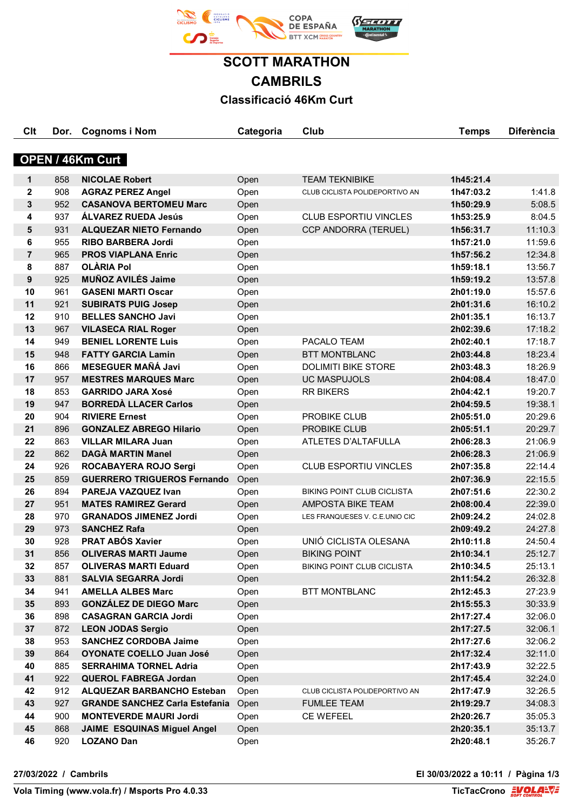

**SCOTT MARATHON CAMBRILS Classificació 46Km Curt**

**Clt Dor. Cognoms i Nom Categoria Club Temps Diferència**

| <b>OPEN / 46Km Curt</b> |            |                                                         |              |                                   |                        |                    |  |
|-------------------------|------------|---------------------------------------------------------|--------------|-----------------------------------|------------------------|--------------------|--|
|                         |            |                                                         |              |                                   |                        |                    |  |
| 1                       | 858        | <b>NICOLAE Robert</b>                                   | Open         | <b>TEAM TEKNIBIKE</b>             | 1h45:21.4              |                    |  |
| $\mathbf 2$             | 908        | <b>AGRAZ PEREZ Angel</b>                                | Open         | CLUB CICLISTA POLIDEPORTIVO AN    | 1h47:03.2              | 1:41.8             |  |
| $\mathbf 3$             | 952        | <b>CASANOVA BERTOMEU Marc</b>                           | Open         |                                   | 1h50:29.9              | 5:08.5             |  |
| 4                       | 937        | <b>ÁLVAREZ RUEDA Jesús</b>                              | Open         | <b>CLUB ESPORTIU VINCLES</b>      | 1h53:25.9              | 8:04.5             |  |
| 5                       | 931        | <b>ALQUEZAR NIETO Fernando</b>                          | Open         | CCP ANDORRA (TERUEL)              | 1h56:31.7              | 11:10.3            |  |
| 6                       | 955        | <b>RIBO BARBERA Jordi</b>                               | Open         |                                   | 1h57:21.0              | 11:59.6            |  |
| $\overline{7}$          | 965        | <b>PROS VIAPLANA Enric</b>                              | Open         |                                   | 1h57:56.2              | 12:34.8            |  |
| 8                       | 887        | <b>OLÀRIA Pol</b>                                       | Open         |                                   | 1h59:18.1              | 13:56.7            |  |
| 9<br>10                 | 925<br>961 | <b>MUÑOZ AVILÉS Jaime</b><br><b>GASENI MARTI Oscar</b>  | Open         |                                   | 1h59:19.2              | 13:57.8            |  |
| 11                      | 921        |                                                         | Open         |                                   | 2h01:19.0              | 15:57.6<br>16:10.2 |  |
| 12                      | 910        | <b>SUBIRATS PUIG Josep</b><br><b>BELLES SANCHO Javi</b> | Open         |                                   | 2h01:31.6              | 16:13.7            |  |
| 13                      | 967        | <b>VILASECA RIAL Roger</b>                              | Open         |                                   | 2h01:35.1              | 17:18.2            |  |
| 14                      | 949        | <b>BENIEL LORENTE Luis</b>                              | Open         | PACALO TEAM                       | 2h02:39.6<br>2h02:40.1 | 17:18.7            |  |
| 15                      | 948        | <b>FATTY GARCIA Lamin</b>                               | Open<br>Open | <b>BTT MONTBLANC</b>              | 2h03:44.8              | 18:23.4            |  |
| 16                      | 866        | <b>MESEGUER MAÑÁ Javi</b>                               | Open         | <b>DOLIMITI BIKE STORE</b>        | 2h03:48.3              | 18:26.9            |  |
| 17                      | 957        | <b>MESTRES MARQUES Marc</b>                             | Open         | <b>UC MASPUJOLS</b>               | 2h04:08.4              | 18:47.0            |  |
| 18                      | 853        | <b>GARRIDO JARA Xosé</b>                                | Open         | <b>RR BIKERS</b>                  | 2h04:42.1              | 19:20.7            |  |
| 19                      | 947        | <b>BORREDÀ LLACER Carlos</b>                            | Open         |                                   | 2h04:59.5              | 19:38.1            |  |
| 20                      | 904        | <b>RIVIERE Ernest</b>                                   | Open         | PROBIKE CLUB                      | 2h05:51.0              | 20:29.6            |  |
| 21                      | 896        | <b>GONZALEZ ABREGO Hilario</b>                          | Open         | PROBIKE CLUB                      | 2h05:51.1              | 20:29.7            |  |
| 22                      | 863        | <b>VILLAR MILARA Juan</b>                               | Open         | ATLETES D'ALTAFULLA               | 2h06:28.3              | 21:06.9            |  |
| 22                      | 862        | <b>DAGÀ MARTIN Manel</b>                                | Open         |                                   | 2h06:28.3              | 21:06.9            |  |
| 24                      | 926        | ROCABAYERA ROJO Sergi                                   | Open         | <b>CLUB ESPORTIU VINCLES</b>      | 2h07:35.8              | 22:14.4            |  |
| 25                      | 859        | <b>GUERRERO TRIGUEROS Fernando</b>                      | Open         |                                   | 2h07:36.9              | 22:15.5            |  |
| 26                      | 894        | PAREJA VAZQUEZ Ivan                                     | Open         | <b>BIKING POINT CLUB CICLISTA</b> | 2h07:51.6              | 22:30.2            |  |
| 27                      | 951        | <b>MATES RAMIREZ Gerard</b>                             | Open         | <b>AMPOSTA BIKE TEAM</b>          | 2h08:00.4              | 22:39.0            |  |
| 28                      | 970        | <b>GRANADOS JIMENEZ Jordi</b>                           | Open         | LES FRANQUESES V. C.E.UNIO CIC    | 2h09:24.2              | 24:02.8            |  |
| 29                      | 973        | <b>SANCHEZ Rafa</b>                                     | Open         |                                   | 2h09:49.2              | 24:27.8            |  |
| 30                      | 928        | <b>PRAT ABÓS Xavier</b>                                 | Open         | UNIÓ CICLISTA OLESANA             | 2h10:11.8              | 24:50.4            |  |
| 31                      | 856        | <b>OLIVERAS MARTI Jaume</b>                             | Open         | <b>BIKING POINT</b>               | 2h10:34.1              | 25:12.7            |  |
| 32                      | 857        | <b>OLIVERAS MARTI Eduard</b>                            | Open         | BIKING POINT CLUB CICLISTA        | 2h10:34.5              | 25:13.1            |  |
| 33                      | 881        | <b>SALVIA SEGARRA Jordi</b>                             | Open         |                                   | 2h11:54.2              | 26:32.8            |  |
| 34                      | 941        | <b>AMELLA ALBES Marc</b>                                | Open         | <b>BTT MONTBLANC</b>              | 2h12:45.3              | 27:23.9            |  |
| 35                      | 893        | <b>GONZÁLEZ DE DIEGO Marc</b>                           | Open         |                                   | 2h15:55.3              | 30:33.9            |  |
| 36                      | 898        | <b>CASAGRAN GARCIA Jordi</b>                            | Open         |                                   | 2h17:27.4              | 32:06.0            |  |
| 37                      | 872        | <b>LEON JODAS Sergio</b>                                | Open         |                                   | 2h17:27.5              | 32:06.1            |  |
| 38                      | 953        | <b>SANCHEZ CORDOBA Jaime</b>                            | Open         |                                   | 2h17:27.6              | 32:06.2            |  |
| 39                      | 864        | <b>OYONATE COELLO Juan José</b>                         | Open         |                                   | 2h17:32.4              | 32:11.0            |  |
| 40                      | 885        | <b>SERRAHIMA TORNEL Adria</b>                           | Open         |                                   | 2h17:43.9              | 32:22.5            |  |
| 41                      | 922        | <b>QUEROL FABREGA Jordan</b>                            | Open         |                                   | 2h17:45.4              | 32:24.0            |  |
| 42                      | 912        | <b>ALQUEZAR BARBANCHO Esteban</b>                       | Open         | CLUB CICLISTA POLIDEPORTIVO AN    | 2h17:47.9              | 32:26.5            |  |
| 43                      | 927        | <b>GRANDE SANCHEZ Carla Estefania</b>                   | Open         | <b>FUMLEE TEAM</b>                | 2h19:29.7              | 34:08.3            |  |
| 44                      | 900        | <b>MONTEVERDE MAURI Jordi</b>                           | Open         | CE WEFEEL                         | 2h20:26.7              | 35:05.3            |  |
| 45                      | 868        | <b>JAIME ESQUINAS Miguel Angel</b>                      | Open         |                                   | 2h20:35.1              | 35:13.7            |  |
| 46                      | 920        | <b>LOZANO Dan</b>                                       | Open         |                                   | 2h20:48.1              | 35:26.7            |  |
|                         |            |                                                         |              |                                   |                        |                    |  |

**27/03/2022 / Cambrils El 30/03/2022 a 10:11 / Pàgina 1/3**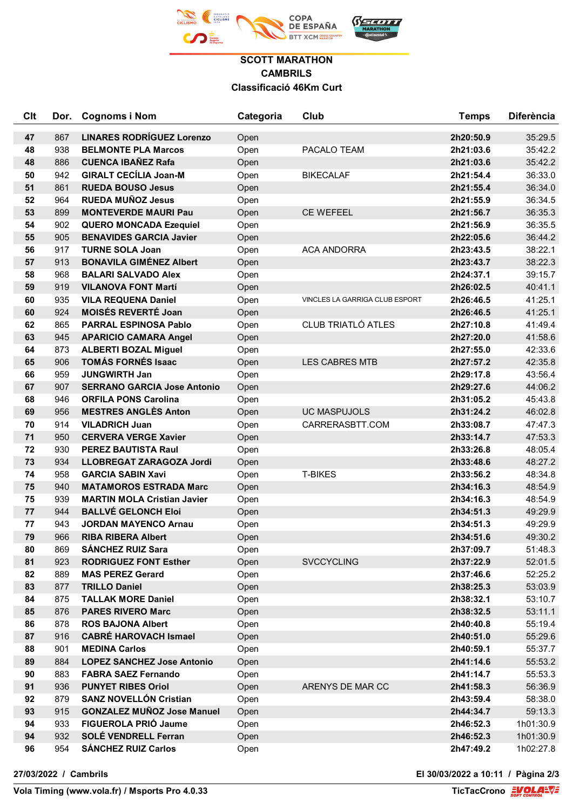

## **SCOTT MARATHON CAMBRILS Classificació 46Km Curt**

| Clt      | Dor. | <b>Cognoms i Nom</b>               | Categoria    | Club                           | <b>Temps</b>           | <b>Diferència</b>  |
|----------|------|------------------------------------|--------------|--------------------------------|------------------------|--------------------|
|          | 867  | <b>LINARES RODRÍGUEZ Lorenzo</b>   |              |                                |                        |                    |
| 47<br>48 | 938  | <b>BELMONTE PLA Marcos</b>         | Open         | PACALO TEAM                    | 2h20:50.9<br>2h21:03.6 | 35:29.5<br>35:42.2 |
| 48       | 886  | <b>CUENCA IBAÑEZ Rafa</b>          | Open         |                                | 2h21:03.6              | 35:42.2            |
| 50       | 942  | <b>GIRALT CECÍLIA Joan-M</b>       | Open<br>Open | <b>BIKECALAF</b>               | 2h21:54.4              | 36:33.0            |
| 51       | 861  | <b>RUEDA BOUSO Jesus</b>           | Open         |                                | 2h21:55.4              | 36:34.0            |
| 52       | 964  | <b>RUEDA MUÑOZ Jesus</b>           | Open         |                                | 2h21:55.9              | 36:34.5            |
| 53       | 899  | <b>MONTEVERDE MAURI Pau</b>        | Open         | <b>CE WEFEEL</b>               | 2h21:56.7              | 36:35.3            |
| 54       | 902  | <b>QUERO MONCADA Ezequiel</b>      | Open         |                                | 2h21:56.9              | 36:35.5            |
| 55       | 905  | <b>BENAVIDES GARCIA Javier</b>     |              |                                | 2h22:05.6              | 36:44.2            |
| 56       | 917  | <b>TURNE SOLA Joan</b>             | Open<br>Open | <b>ACA ANDORRA</b>             | 2h23:43.5              | 38:22.1            |
| 57       | 913  | <b>BONAVILA GIMÉNEZ Albert</b>     | Open         |                                | 2h23:43.7              | 38:22.3            |
| 58       | 968  | <b>BALARI SALVADO Alex</b>         | Open         |                                | 2h24:37.1              | 39:15.7            |
| 59       | 919  | <b>VILANOVA FONT Martí</b>         | Open         |                                | 2h26:02.5              | 40:41.1            |
| 60       | 935  | <b>VILA REQUENA Daniel</b>         | Open         | VINCLES LA GARRIGA CLUB ESPORT | 2h26:46.5              | 41:25.1            |
| 60       | 924  | <b>MOISÉS REVERTÉ Joan</b>         | Open         |                                | 2h26:46.5              | 41:25.1            |
| 62       | 865  | <b>PARRAL ESPINOSA Pablo</b>       | Open         | <b>CLUB TRIATLÓ ATLES</b>      | 2h27:10.8              | 41:49.4            |
| 63       | 945  | <b>APARICIO CAMARA Angel</b>       | Open         |                                | 2h27:20.0              | 41:58.6            |
| 64       | 873  | <b>ALBERTI BOZAL Miguel</b>        | Open         |                                | 2h27:55.0              | 42:33.6            |
| 65       | 906  | <b>TOMÁS FORNÉS Isaac</b>          | Open         | <b>LES CABRES MTB</b>          | 2h27:57.2              | 42:35.8            |
| 66       | 959  | <b>JUNGWIRTH Jan</b>               | Open         |                                | 2h29:17.8              | 43:56.4            |
| 67       | 907  | <b>SERRANO GARCIA Jose Antonio</b> | Open         |                                | 2h29:27.6              | 44:06.2            |
| 68       | 946  | <b>ORFILA PONS Carolina</b>        | Open         |                                | 2h31:05.2              | 45:43.8            |
| 69       | 956  | <b>MESTRES ANGLÈS Anton</b>        | Open         | <b>UC MASPUJOLS</b>            | 2h31:24.2              | 46:02.8            |
| 70       | 914  | <b>VILADRICH Juan</b>              | Open         | CARRERASBTT.COM                | 2h33:08.7              | 47:47.3            |
| 71       | 950  | <b>CERVERA VERGE Xavier</b>        | Open         |                                | 2h33:14.7              | 47:53.3            |
| 72       | 930  | <b>PEREZ BAUTISTA Raul</b>         | Open         |                                | 2h33:26.8              | 48:05.4            |
| 73       | 934  | <b>LLOBREGAT ZARAGOZA Jordi</b>    | Open         |                                | 2h33:48.6              | 48:27.2            |
| 74       | 958  | <b>GARCIA SABIN Xavi</b>           | Open         | <b>T-BIKES</b>                 | 2h33:56.2              | 48:34.8            |
| 75       | 940  | <b>MATAMOROS ESTRADA Marc</b>      | Open         |                                | 2h34:16.3              | 48:54.9            |
| 75       | 939  | <b>MARTIN MOLA Cristian Javier</b> | Open         |                                | 2h34:16.3              | 48:54.9            |
| 77       | 944  | <b>BALLVÉ GELONCH Eloi</b>         | Open         |                                | 2h34:51.3              | 49:29.9            |
| 77       | 943  | <b>JORDAN MAYENCO Arnau</b>        | Open         |                                | 2h34:51.3              | 49:29.9            |
| 79       | 966  | <b>RIBA RIBERA Albert</b>          | Open         |                                | 2h34:51.6              | 49:30.2            |
| 80       | 869  | <b>SÁNCHEZ RUIZ Sara</b>           | Open         |                                | 2h37:09.7              | 51:48.3            |
| 81       | 923  | <b>RODRIGUEZ FONT Esther</b>       | Open         | <b>SVCCYCLING</b>              | 2h37:22.9              | 52:01.5            |
| 82       | 889  | <b>MAS PEREZ Gerard</b>            | Open         |                                | 2h37:46.6              | 52:25.2            |
| 83       | 877  | <b>TRILLO Daniel</b>               | Open         |                                | 2h38:25.3              | 53:03.9            |
| 84       | 875  | <b>TALLAK MORE Daniel</b>          | Open         |                                | 2h38:32.1              | 53:10.7            |
| 85       | 876  | <b>PARES RIVERO Marc</b>           | Open         |                                | 2h38:32.5              | 53:11.1            |
| 86       | 878  | <b>ROS BAJONA Albert</b>           | Open         |                                | 2h40:40.8              | 55:19.4            |
| 87       | 916  | <b>CABRÉ HAROVACH Ismael</b>       | Open         |                                | 2h40:51.0              | 55:29.6            |
| 88       | 901  | <b>MEDINA Carlos</b>               | Open         |                                | 2h40:59.1              | 55:37.7            |
| 89       | 884  | <b>LOPEZ SANCHEZ Jose Antonio</b>  | Open         |                                | 2h41:14.6              | 55:53.2            |
| 90       | 883  | <b>FABRA SAEZ Fernando</b>         | Open         |                                | 2h41:14.7              | 55:53.3            |
| 91       | 936  | <b>PUNYET RIBES Oriol</b>          | Open         | ARENYS DE MAR CC               | 2h41:58.3              | 56:36.9            |
| 92       | 879  | <b>SANZ NOVELLÓN Cristian</b>      | Open         |                                | 2h43:59.4              | 58:38.0            |
| 93       | 915  | <b>GONZALEZ MUÑOZ Jose Manuel</b>  | Open         |                                | 2h44:34.7              | 59:13.3            |
| 94       | 933  | <b>FIGUEROLA PRIÓ Jaume</b>        | Open         |                                | 2h46:52.3              | 1h01:30.9          |
| 94       | 932  | <b>SOLÉ VENDRELL Ferran</b>        | Open         |                                | 2h46:52.3              | 1h01:30.9          |
| 96       | 954  | <b>SÁNCHEZ RUIZ Carlos</b>         | Open         |                                | 2h47:49.2              | 1h02:27.8          |

**27/03/2022 / Cambrils El 30/03/2022 a 10:11 / Pàgina 2/3**